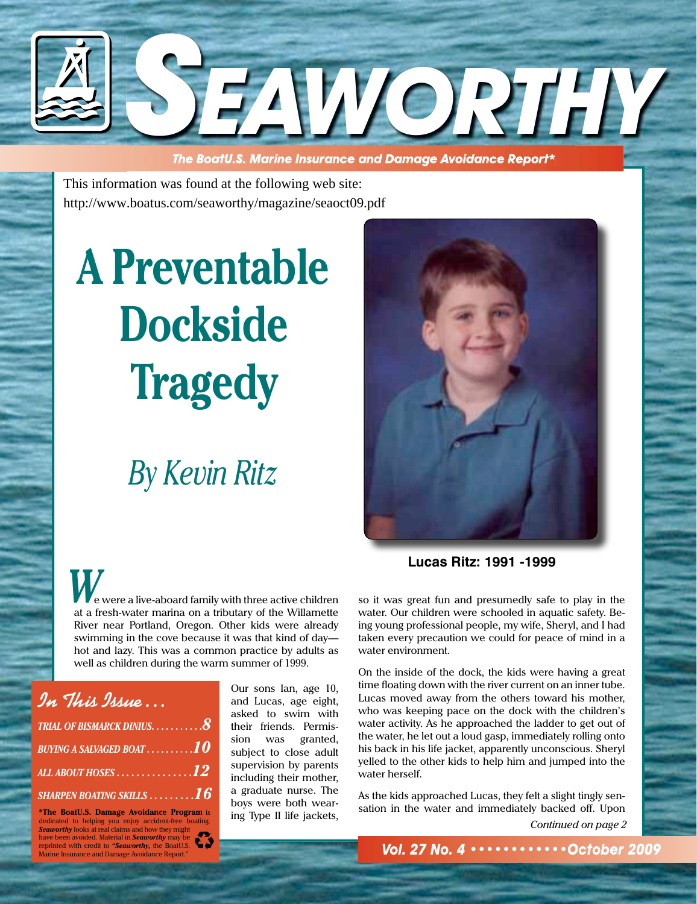

 **The BoatU.S. Marine Insurance and Damage Avoidance Report\***

This information was found at the following web site: http://www.boatus.com/seaworthy/magazine/seaoct09.pdf

# **A Preventable Dockside Tragedy**

## *By Kevin Ritz*

 e were a live-aboard family with three active children at a fresh-water marina on a tributary of the Willamette River near Portland, Oregon. Other kids were already swimming in the cove because it was that kind of day hot and lazy. This was a common practice by adults as well as children during the warm summer of 1999.

| In This Issue                                   |  |
|-------------------------------------------------|--|
| trial of bismarck dinius. $8$                   |  |
| BUYING A SALVAGED BOAT $\dots\dots\dots10$      |  |
| ALL ABOUT HOSES 12                              |  |
| sharpen boating skills $\dots\dots$ . $\bm{16}$ |  |

**\*The BoatU.S. Damage Avoidance Program** is dedicated to helping you enjoy accident-free boating. *Seaworthy* looks at real claims and how they might have been avoided. Material in *Seaworthy* may be reprinted with credit to *"Seaworthy,* the BoatU.S. Marine Insurance and Damage Avoi

Our sons Ian, age 10, and Lucas, age eight, asked to swim with their friends. Permission was granted, subject to close adult supervision by parents including their mother, a graduate nurse. The boys were both wearing Type II life jackets,



**Lucas Ritz: 1991 -1999**

*W* so it was great fun and presumedly safe to play in the water. Our children were schooled in aquatic safety. Being young professional people, my wife, Sheryl, and I had taken every precaution we could for peace of mind in a water environment.

On the inside of the dock, the kids were having a great time floating down with the river current on an inner tube. Lucas moved away from the others toward his mother, who was keeping pace on the dock with the children's water activity. As he approached the ladder to get out of the water, he let out a loud gasp, immediately rolling onto his back in his life jacket, apparently unconscious. Sheryl yelled to the other kids to help him and jumped into the water herself.

As the kids approached Lucas, they felt a slight tingly sensation in the water and immediately backed off. Upon

*Continued on page 2*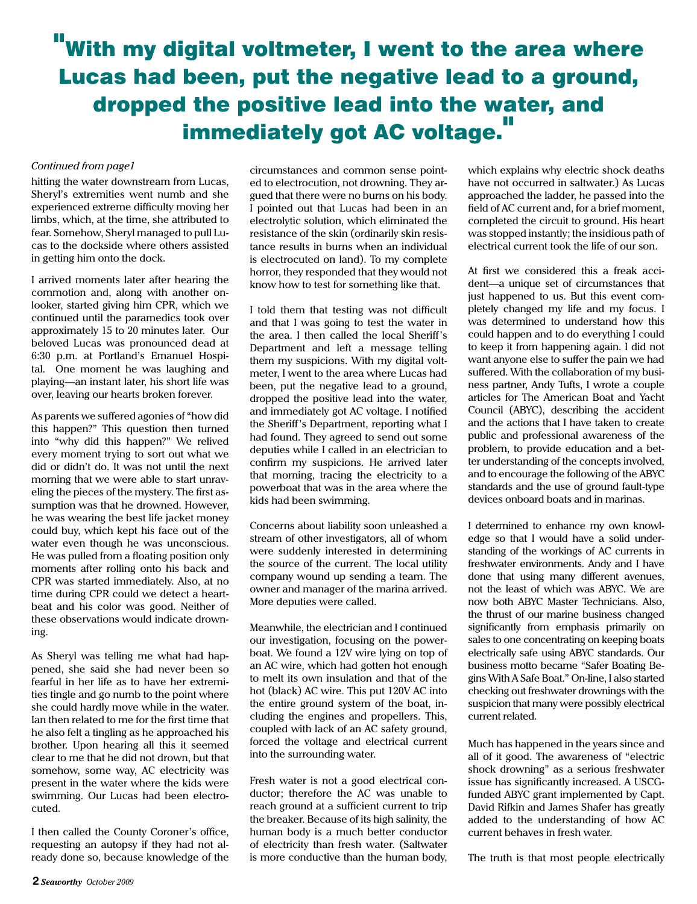## "With my digital voltmeter, I went to the area where Lucas had been, put the negative lead to a ground, dropped the positive lead into the water, and immediately got AC voltage.

#### *Continued from page1*

hitting the water downstream from Lucas, Sheryl's extremities went numb and she experienced extreme difficulty moving her limbs, which, at the time, she attributed to fear. Somehow, Sheryl managed to pull Lucas to the dockside where others assisted in getting him onto the dock.

I arrived moments later after hearing the commotion and, along with another onlooker, started giving him CPR, which we continued until the paramedics took over approximately 15 to 20 minutes later. Our beloved Lucas was pronounced dead at 6:30 p.m. at Portland's Emanuel Hospital. One moment he was laughing and playing—an instant later, his short life was over, leaving our hearts broken forever.

As parents we suffered agonies of "how did this happen?" This question then turned into "why did this happen?" We relived every moment trying to sort out what we did or didn't do. It was not until the next morning that we were able to start unraveling the pieces of the mystery. The first assumption was that he drowned. However, he was wearing the best life jacket money could buy, which kept his face out of the water even though he was unconscious. He was pulled from a floating position only moments after rolling onto his back and CPR was started immediately. Also, at no time during CPR could we detect a heartbeat and his color was good. Neither of these observations would indicate drowning.

As Sheryl was telling me what had happened, she said she had never been so fearful in her life as to have her extremities tingle and go numb to the point where she could hardly move while in the water. Ian then related to me for the first time that he also felt a tingling as he approached his brother. Upon hearing all this it seemed clear to me that he did not drown, but that somehow, some way, AC electricity was present in the water where the kids were swimming. Our Lucas had been electrocuted.

I then called the County Coroner's office, requesting an autopsy if they had not already done so, because knowledge of the

circumstances and common sense pointed to electrocution, not drowning. They argued that there were no burns on his body. I pointed out that Lucas had been in an electrolytic solution, which eliminated the resistance of the skin (ordinarily skin resistance results in burns when an individual is electrocuted on land). To my complete horror, they responded that they would not know how to test for something like that.

I told them that testing was not difficult and that I was going to test the water in the area. I then called the local Sheriff's Department and left a message telling them my suspicions. With my digital voltmeter, I went to the area where Lucas had been, put the negative lead to a ground, dropped the positive lead into the water, and immediately got AC voltage. I notified the Sheriff's Department, reporting what I had found. They agreed to send out some deputies while I called in an electrician to confirm my suspicions. He arrived later that morning, tracing the electricity to a powerboat that was in the area where the kids had been swimming.

Concerns about liability soon unleashed a stream of other investigators, all of whom were suddenly interested in determining the source of the current. The local utility company wound up sending a team. The owner and manager of the marina arrived. More deputies were called.

Meanwhile, the electrician and I continued our investigation, focusing on the powerboat. We found a 12V wire lying on top of an AC wire, which had gotten hot enough to melt its own insulation and that of the hot (black) AC wire. This put 120V AC into the entire ground system of the boat, including the engines and propellers. This, coupled with lack of an AC safety ground, forced the voltage and electrical current into the surrounding water.

Fresh water is not a good electrical conductor; therefore the AC was unable to reach ground at a sufficient current to trip the breaker. Because of its high salinity, the human body is a much better conductor of electricity than fresh water. (Saltwater is more conductive than the human body,

which explains why electric shock deaths have not occurred in saltwater.) As Lucas approached the ladder, he passed into the field of AC current and, for a brief moment, completed the circuit to ground. His heart was stopped instantly; the insidious path of electrical current took the life of our son.

At first we considered this a freak accident—a unique set of circumstances that just happened to us. But this event completely changed my life and my focus. I was determined to understand how this could happen and to do everything I could to keep it from happening again. I did not want anyone else to suffer the pain we had suffered. With the collaboration of my business partner, Andy Tufts, I wrote a couple articles for The American Boat and Yacht Council (ABYC), describing the accident and the actions that I have taken to create public and professional awareness of the problem, to provide education and a better understanding of the concepts involved, and to encourage the following of the ABYC standards and the use of ground fault-type devices onboard boats and in marinas.

I determined to enhance my own knowledge so that I would have a solid understanding of the workings of AC currents in freshwater environments. Andy and I have done that using many different avenues, not the least of which was ABYC. We are now both ABYC Master Technicians. Also, the thrust of our marine business changed significantly from emphasis primarily on sales to one concentrating on keeping boats electrically safe using ABYC standards. Our business motto became "Safer Boating Begins With A Safe Boat." On-line, I also started checking out freshwater drownings with the suspicion that many were possibly electrical current related.

Much has happened in the years since and all of it good. The awareness of "electric shock drowning" as a serious freshwater issue has significantly increased. A USCGfunded ABYC grant implemented by Capt. David Rifkin and James Shafer has greatly added to the understanding of how AC current behaves in fresh water.

The truth is that most people electrically